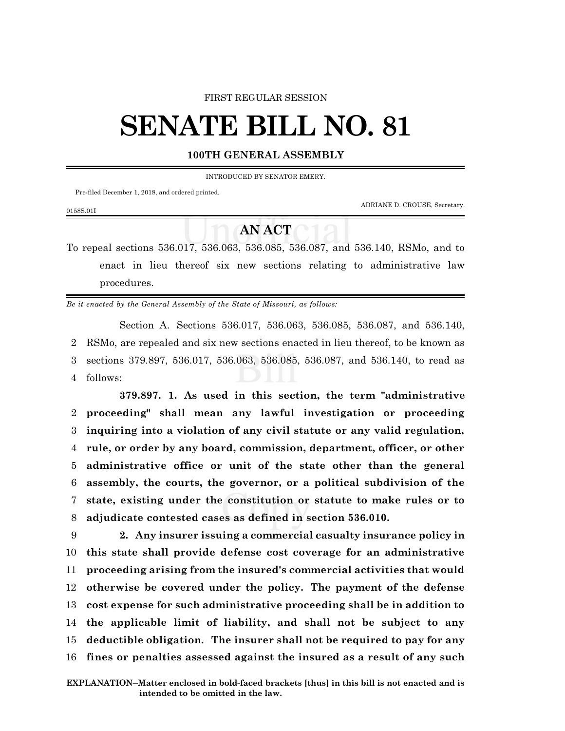#### FIRST REGULAR SESSION

# **SENATE BILL NO. 81**

### **100TH GENERAL ASSEMBLY**

INTRODUCED BY SENATOR EMERY.

Pre-filed December 1, 2018, and ordered printed.

ADRIANE D. CROUSE, Secretary.

#### 0158S.01I

## **AN ACT**

To repeal sections 536.017, 536.063, 536.085, 536.087, and 536.140, RSMo, and to enact in lieu thereof six new sections relating to administrative law procedures.

*Be it enacted by the General Assembly of the State of Missouri, as follows:*

Section A. Sections 536.017, 536.063, 536.085, 536.087, and 536.140, 2 RSMo, are repealed and six new sections enacted in lieu thereof, to be known as 3 sections 379.897, 536.017, 536.063, 536.085, 536.087, and 536.140, to read as 4 follows:

**379.897. 1. As used in this section, the term "administrative proceeding" shall mean any lawful investigation or proceeding inquiring into a violation of any civil statute or any valid regulation, rule, or order by any board, commission, department, officer, or other administrative office or unit of the state other than the general assembly, the courts, the governor, or a political subdivision of the state, existing under the constitution or statute to make rules or to adjudicate contested cases as defined in section 536.010.**

 **2. Any insurer issuing a commercial casualty insurance policy in this state shall provide defense cost coverage for an administrative proceeding arising from the insured's commercial activities that would otherwise be covered under the policy. The payment of the defense cost expense for such administrative proceeding shall be in addition to the applicable limit of liability, and shall not be subject to any deductible obligation. The insurer shall not be required to pay for any fines or penalties assessed against the insured as a result of any such**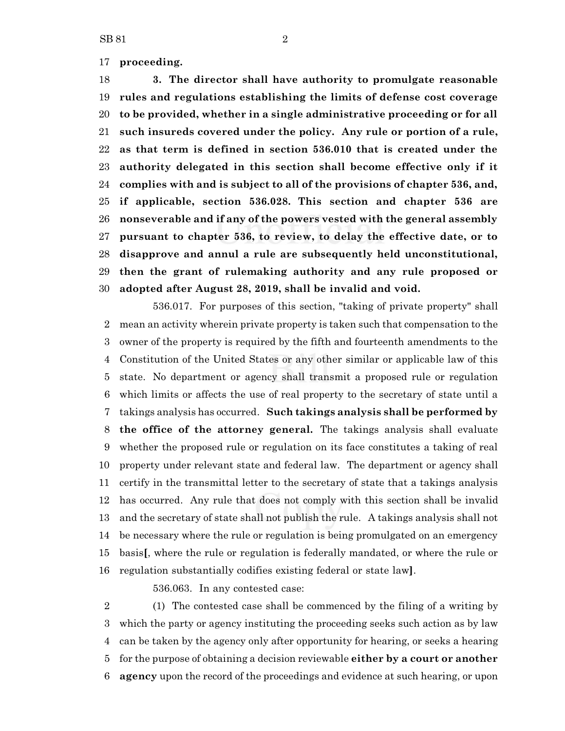**proceeding.**

 **3. The director shall have authority to promulgate reasonable rules and regulations establishing the limits of defense cost coverage to be provided, whether in a single administrative proceeding or for all such insureds covered under the policy. Any rule or portion of a rule, as that term is defined in section 536.010 that is created under the authority delegated in this section shall become effective only if it complies with and is subject to all of the provisions of chapter 536, and, if applicable, section 536.028. This section and chapter 536 are nonseverable and if any of the powers vested with the general assembly pursuant to chapter 536, to review, to delay the effective date, or to disapprove and annul a rule are subsequently held unconstitutional, then the grant of rulemaking authority and any rule proposed or adopted after August 28, 2019, shall be invalid and void.**

536.017. For purposes of this section, "taking of private property" shall mean an activity wherein private property is taken such that compensation to the owner of the property is required by the fifth and fourteenth amendments to the Constitution of the United States or any other similar or applicable law of this state. No department or agency shall transmit a proposed rule or regulation which limits or affects the use of real property to the secretary of state until a takings analysis has occurred. **Such takings analysis shall be performed by the office of the attorney general.** The takings analysis shall evaluate whether the proposed rule or regulation on its face constitutes a taking of real property under relevant state and federal law. The department or agency shall certify in the transmittal letter to the secretary of state that a takings analysis has occurred. Any rule that does not comply with this section shall be invalid and the secretary of state shall not publish the rule. A takings analysis shall not be necessary where the rule or regulation is being promulgated on an emergency basis**[**, where the rule or regulation is federally mandated, or where the rule or regulation substantially codifies existing federal or state law**]**.

536.063. In any contested case:

 (1) The contested case shall be commenced by the filing of a writing by which the party or agency instituting the proceeding seeks such action as by law can be taken by the agency only after opportunity for hearing, or seeks a hearing for the purpose of obtaining a decision reviewable **either by a court or another agency** upon the record of the proceedings and evidence at such hearing, or upon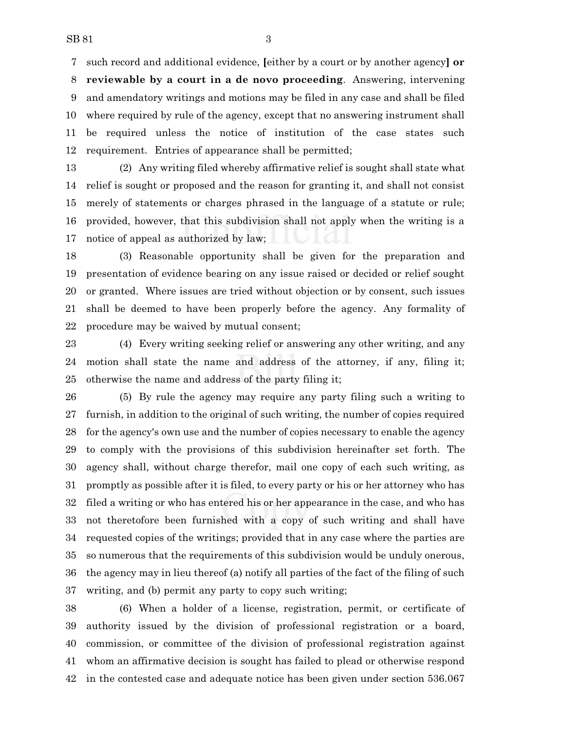such record and additional evidence, **[**either by a court or by another agency**] or reviewable by a court in a de novo proceeding**. Answering, intervening and amendatory writings and motions may be filed in any case and shall be filed where required by rule of the agency, except that no answering instrument shall be required unless the notice of institution of the case states such requirement. Entries of appearance shall be permitted;

 (2) Any writing filed whereby affirmative relief is sought shall state what relief is sought or proposed and the reason for granting it, and shall not consist merely of statements or charges phrased in the language of a statute or rule; provided, however, that this subdivision shall not apply when the writing is a notice of appeal as authorized by law;

 (3) Reasonable opportunity shall be given for the preparation and presentation of evidence bearing on any issue raised or decided or relief sought or granted. Where issues are tried without objection or by consent, such issues shall be deemed to have been properly before the agency. Any formality of procedure may be waived by mutual consent;

 (4) Every writing seeking relief or answering any other writing, and any motion shall state the name and address of the attorney, if any, filing it; otherwise the name and address of the party filing it;

 (5) By rule the agency may require any party filing such a writing to furnish, in addition to the original of such writing, the number of copies required for the agency's own use and the number of copies necessary to enable the agency to comply with the provisions of this subdivision hereinafter set forth. The agency shall, without charge therefor, mail one copy of each such writing, as promptly as possible after it is filed, to every party or his or her attorney who has filed a writing or who has entered his or her appearance in the case, and who has not theretofore been furnished with a copy of such writing and shall have requested copies of the writings; provided that in any case where the parties are so numerous that the requirements of this subdivision would be unduly onerous, the agency may in lieu thereof (a) notify all parties of the fact of the filing of such writing, and (b) permit any party to copy such writing;

 (6) When a holder of a license, registration, permit, or certificate of authority issued by the division of professional registration or a board, commission, or committee of the division of professional registration against whom an affirmative decision is sought has failed to plead or otherwise respond in the contested case and adequate notice has been given under section 536.067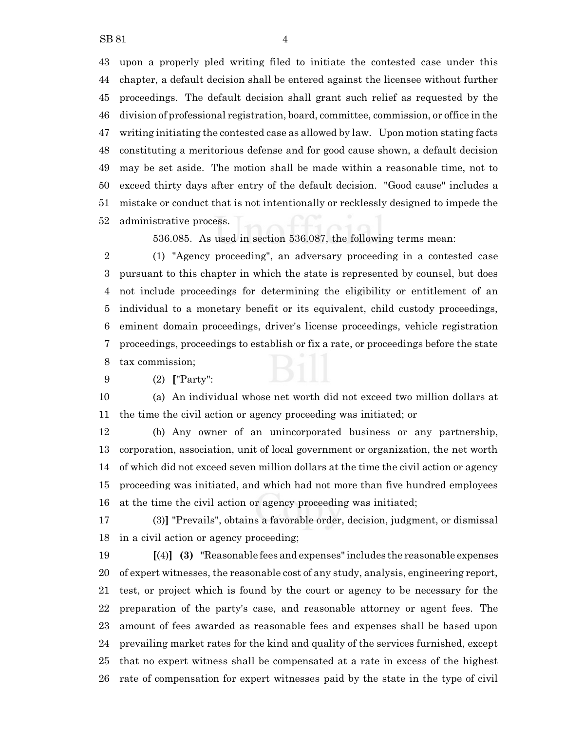upon a properly pled writing filed to initiate the contested case under this chapter, a default decision shall be entered against the licensee without further proceedings. The default decision shall grant such relief as requested by the division of professional registration, board, committee, commission, or office in the writing initiating the contested case as allowed by law. Upon motion stating facts constituting a meritorious defense and for good cause shown, a default decision may be set aside. The motion shall be made within a reasonable time, not to exceed thirty days after entry of the default decision. "Good cause" includes a mistake or conduct that is not intentionally or recklessly designed to impede the administrative process.

536.085. As used in section 536.087, the following terms mean:

 (1) "Agency proceeding", an adversary proceeding in a contested case pursuant to this chapter in which the state is represented by counsel, but does not include proceedings for determining the eligibility or entitlement of an individual to a monetary benefit or its equivalent, child custody proceedings, eminent domain proceedings, driver's license proceedings, vehicle registration proceedings, proceedings to establish or fix a rate, or proceedings before the state tax commission;

(2) **[**"Party":

 (a) An individual whose net worth did not exceed two million dollars at the time the civil action or agency proceeding was initiated; or

 (b) Any owner of an unincorporated business or any partnership, corporation, association, unit of local government or organization, the net worth of which did not exceed seven million dollars at the time the civil action or agency proceeding was initiated, and which had not more than five hundred employees at the time the civil action or agency proceeding was initiated;

 (3)**]** "Prevails", obtains a favorable order, decision, judgment, or dismissal in a civil action or agency proceeding;

 **[**(4)**] (3)** "Reasonable fees and expenses" includes the reasonable expenses of expert witnesses, the reasonable cost of any study, analysis, engineering report, test, or project which is found by the court or agency to be necessary for the preparation of the party's case, and reasonable attorney or agent fees. The amount of fees awarded as reasonable fees and expenses shall be based upon prevailing market rates for the kind and quality of the services furnished, except that no expert witness shall be compensated at a rate in excess of the highest rate of compensation for expert witnesses paid by the state in the type of civil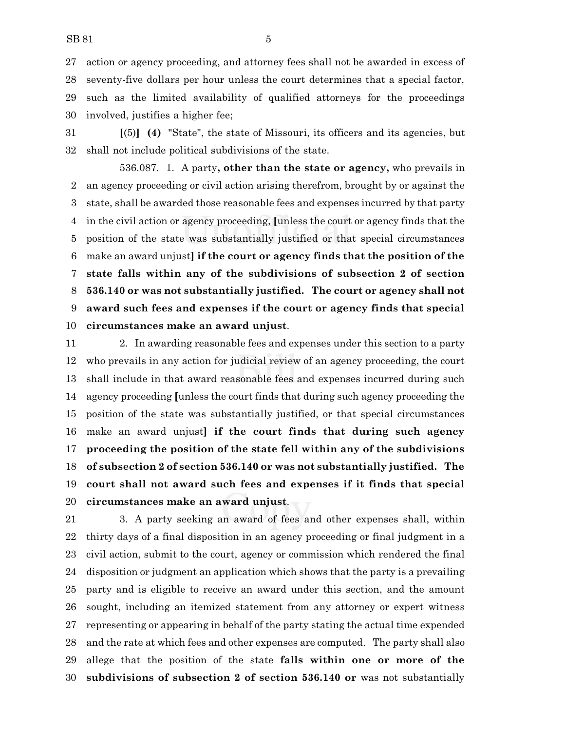action or agency proceeding, and attorney fees shall not be awarded in excess of seventy-five dollars per hour unless the court determines that a special factor, such as the limited availability of qualified attorneys for the proceedings involved, justifies a higher fee;

 **[**(5)**] (4)** "State", the state of Missouri, its officers and its agencies, but shall not include political subdivisions of the state.

536.087. 1. A party**, other than the state or agency,** who prevails in an agency proceeding or civil action arising therefrom, brought by or against the state, shall be awarded those reasonable fees and expenses incurred by that party in the civil action or agency proceeding, **[**unless the court or agency finds that the position of the state was substantially justified or that special circumstances make an award unjust**] if the court or agency finds that the position of the state falls within any of the subdivisions of subsection 2 of section 536.140 or was not substantially justified. The court or agency shall not award such fees and expenses if the court or agency finds that special circumstances make an award unjust**.

 2. In awarding reasonable fees and expenses under this section to a party who prevails in any action for judicial review of an agency proceeding, the court shall include in that award reasonable fees and expenses incurred during such agency proceeding **[**unless the court finds that during such agency proceeding the position of the state was substantially justified, or that special circumstances make an award unjust**] if the court finds that during such agency proceeding the position of the state fell within any of the subdivisions of subsection 2 of section 536.140 or was not substantially justified. The court shall not award such fees and expenses if it finds that special circumstances make an award unjust**.

 3. A party seeking an award of fees and other expenses shall, within thirty days of a final disposition in an agency proceeding or final judgment in a civil action, submit to the court, agency or commission which rendered the final disposition or judgment an application which shows that the party is a prevailing party and is eligible to receive an award under this section, and the amount sought, including an itemized statement from any attorney or expert witness representing or appearing in behalf of the party stating the actual time expended and the rate at which fees and other expenses are computed. The party shall also allege that the position of the state **falls within one or more of the subdivisions of subsection 2 of section 536.140 or** was not substantially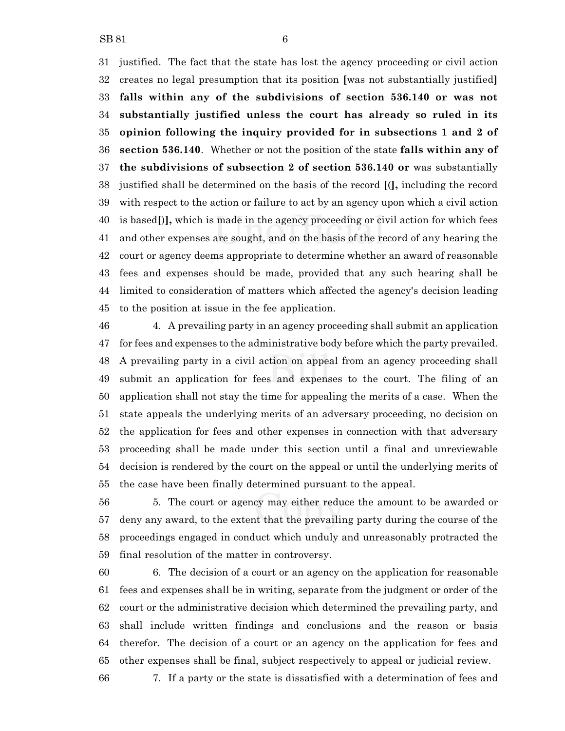justified. The fact that the state has lost the agency proceeding or civil action creates no legal presumption that its position **[**was not substantially justified**] falls within any of the subdivisions of section 536.140 or was not substantially justified unless the court has already so ruled in its opinion following the inquiry provided for in subsections 1 and 2 of section 536.140**. Whether or not the position of the state **falls within any of the subdivisions of subsection 2 of section 536.140 or** was substantially justified shall be determined on the basis of the record **[**(**],** including the record with respect to the action or failure to act by an agency upon which a civil action is based**[**)**],** which is made in the agency proceeding or civil action for which fees and other expenses are sought, and on the basis of the record of any hearing the court or agency deems appropriate to determine whether an award of reasonable fees and expenses should be made, provided that any such hearing shall be limited to consideration of matters which affected the agency's decision leading to the position at issue in the fee application.

 4. A prevailing party in an agency proceeding shall submit an application for fees and expenses to the administrative body before which the party prevailed. A prevailing party in a civil action on appeal from an agency proceeding shall submit an application for fees and expenses to the court. The filing of an application shall not stay the time for appealing the merits of a case. When the state appeals the underlying merits of an adversary proceeding, no decision on the application for fees and other expenses in connection with that adversary proceeding shall be made under this section until a final and unreviewable decision is rendered by the court on the appeal or until the underlying merits of the case have been finally determined pursuant to the appeal.

 5. The court or agency may either reduce the amount to be awarded or deny any award, to the extent that the prevailing party during the course of the proceedings engaged in conduct which unduly and unreasonably protracted the final resolution of the matter in controversy.

 6. The decision of a court or an agency on the application for reasonable fees and expenses shall be in writing, separate from the judgment or order of the court or the administrative decision which determined the prevailing party, and shall include written findings and conclusions and the reason or basis therefor. The decision of a court or an agency on the application for fees and other expenses shall be final, subject respectively to appeal or judicial review.

7. If a party or the state is dissatisfied with a determination of fees and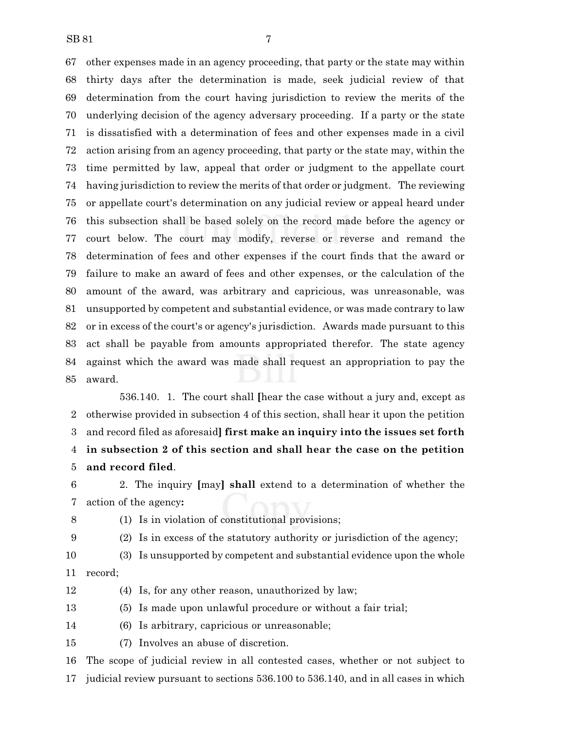other expenses made in an agency proceeding, that party or the state may within thirty days after the determination is made, seek judicial review of that determination from the court having jurisdiction to review the merits of the underlying decision of the agency adversary proceeding. If a party or the state is dissatisfied with a determination of fees and other expenses made in a civil action arising from an agency proceeding, that party or the state may, within the time permitted by law, appeal that order or judgment to the appellate court having jurisdiction to review the merits of that order or judgment. The reviewing or appellate court's determination on any judicial review or appeal heard under this subsection shall be based solely on the record made before the agency or court below. The court may modify, reverse or reverse and remand the determination of fees and other expenses if the court finds that the award or failure to make an award of fees and other expenses, or the calculation of the amount of the award, was arbitrary and capricious, was unreasonable, was unsupported by competent and substantial evidence, or was made contrary to law or in excess of the court's or agency's jurisdiction. Awards made pursuant to this act shall be payable from amounts appropriated therefor. The state agency against which the award was made shall request an appropriation to pay the award.

536.140. 1. The court shall **[**hear the case without a jury and, except as otherwise provided in subsection 4 of this section, shall hear it upon the petition and record filed as aforesaid**] first make an inquiry into the issues set forth in subsection 2 of this section and shall hear the case on the petition and record filed**.

 2. The inquiry **[**may**] shall** extend to a determination of whether the action of the agency**:**

(1) Is in violation of constitutional provisions;

(2) Is in excess of the statutory authority or jurisdiction of the agency;

- (3) Is unsupported by competent and substantial evidence upon the whole record;
- 

(4) Is, for any other reason, unauthorized by law;

(5) Is made upon unlawful procedure or without a fair trial;

(6) Is arbitrary, capricious or unreasonable;

(7) Involves an abuse of discretion.

 The scope of judicial review in all contested cases, whether or not subject to judicial review pursuant to sections 536.100 to 536.140, and in all cases in which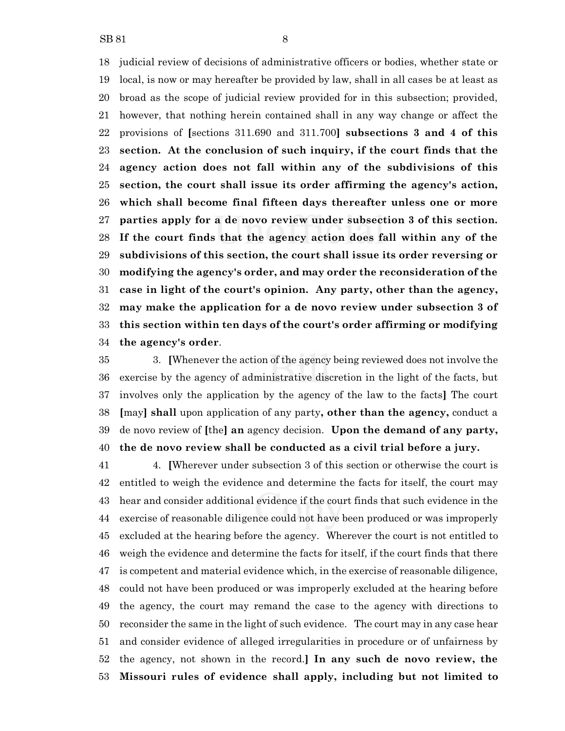judicial review of decisions of administrative officers or bodies, whether state or local, is now or may hereafter be provided by law, shall in all cases be at least as broad as the scope of judicial review provided for in this subsection; provided, however, that nothing herein contained shall in any way change or affect the provisions of **[**sections 311.690 and 311.700**] subsections 3 and 4 of this section. At the conclusion of such inquiry, if the court finds that the agency action does not fall within any of the subdivisions of this section, the court shall issue its order affirming the agency's action, which shall become final fifteen days thereafter unless one or more parties apply for a de novo review under subsection 3 of this section. If the court finds that the agency action does fall within any of the subdivisions of this section, the court shall issue its order reversing or modifying the agency's order, and may order the reconsideration of the case in light of the court's opinion. Any party, other than the agency, may make the application for a de novo review under subsection 3 of this section within ten days of the court's order affirming or modifying the agency's order**.

 3. **[**Whenever the action of the agency being reviewed does not involve the exercise by the agency of administrative discretion in the light of the facts, but involves only the application by the agency of the law to the facts**]** The court **[**may**] shall** upon application of any party**, other than the agency,** conduct a de novo review of **[**the**] an** agency decision. **Upon the demand of any party, the de novo review shall be conducted as a civil trial before a jury.**

 4. **[**Wherever under subsection 3 of this section or otherwise the court is entitled to weigh the evidence and determine the facts for itself, the court may hear and consider additional evidence if the court finds that such evidence in the exercise of reasonable diligence could not have been produced or was improperly excluded at the hearing before the agency. Wherever the court is not entitled to weigh the evidence and determine the facts for itself, if the court finds that there is competent and material evidence which, in the exercise of reasonable diligence, could not have been produced or was improperly excluded at the hearing before the agency, the court may remand the case to the agency with directions to reconsider the same in the light of such evidence. The court may in any case hear and consider evidence of alleged irregularities in procedure or of unfairness by the agency, not shown in the record.**] In any such de novo review, the Missouri rules of evidence shall apply, including but not limited to**